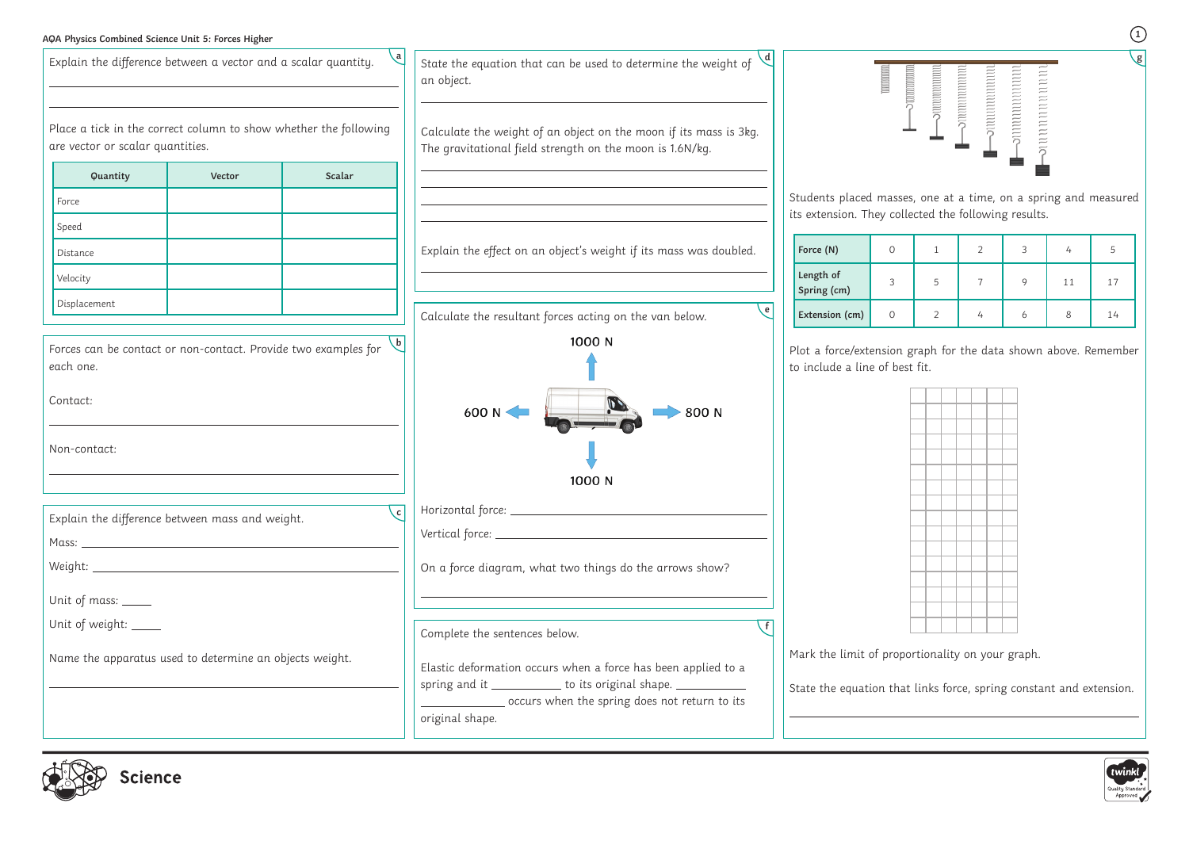## **AQA Physics Combined Science Unit 5: Forces Higher**

| Explain the difference between a vector and a scalar quantity.                                          |        |        | State the equation that can be used to determine the weight of<br>an object.                                                                                                        |                                                  | $\begin{minipage}{0.4\linewidth} \begin{tabular}{ c c c } \hline \multicolumn{3}{ c }{\textbf{matrix}} & \multicolumn{3}{ c }{\textbf{matrix}} \\ \multicolumn{3}{ c }{\textbf{matrix}} & \multicolumn{3}{ c }{\textbf{matrix}} \\ \multicolumn{3}{ c }{\textbf{matrix}} & \multicolumn{3}{ c }{\textbf{matrix}} \\ \multicolumn{3}{ c }{\textbf{matrix}} & \multicolumn{3}{ c }{\textbf{matrix}} \\ \multicolumn{3}{ c }{\textbf{matrix}} & \multicolumn{3}{ c }{\textbf{matrix}} \\ \multicolumn{3}{ c $ |
|---------------------------------------------------------------------------------------------------------|--------|--------|-------------------------------------------------------------------------------------------------------------------------------------------------------------------------------------|--------------------------------------------------|------------------------------------------------------------------------------------------------------------------------------------------------------------------------------------------------------------------------------------------------------------------------------------------------------------------------------------------------------------------------------------------------------------------------------------------------------------------------------------------------------------|
| Place a tick in the correct column to show whether the following<br>are vector or scalar quantities.    |        |        | Calculate the weight of an object on the moon if its mass is 3kg.<br>The gravitational field strength on the moon is 1.6N/kg.                                                       |                                                  |                                                                                                                                                                                                                                                                                                                                                                                                                                                                                                            |
| Quantity                                                                                                | Vector | Scalar |                                                                                                                                                                                     |                                                  |                                                                                                                                                                                                                                                                                                                                                                                                                                                                                                            |
| Force                                                                                                   |        |        |                                                                                                                                                                                     | Students placed mas<br>its extension. They co    |                                                                                                                                                                                                                                                                                                                                                                                                                                                                                                            |
| Speed                                                                                                   |        |        |                                                                                                                                                                                     |                                                  |                                                                                                                                                                                                                                                                                                                                                                                                                                                                                                            |
| Distance                                                                                                |        |        | Explain the effect on an object's weight if its mass was doubled.                                                                                                                   | Force (N)                                        | 0                                                                                                                                                                                                                                                                                                                                                                                                                                                                                                          |
| Velocity                                                                                                |        |        |                                                                                                                                                                                     | Length of<br>Spring (cm)                         | 3                                                                                                                                                                                                                                                                                                                                                                                                                                                                                                          |
| Displacement                                                                                            |        |        | e<br>Calculate the resultant forces acting on the van below.                                                                                                                        | Extension (cm)                                   | $\circ$                                                                                                                                                                                                                                                                                                                                                                                                                                                                                                    |
| Forces can be contact or non-contact. Provide two examples for<br>each one.<br>Contact:<br>Non-contact: |        |        | 1000 N<br>600 N <<br>800 N<br>1000 N                                                                                                                                                | Plot a force/extensior<br>to include a line of b |                                                                                                                                                                                                                                                                                                                                                                                                                                                                                                            |
| Explain the difference between mass and weight.                                                         |        | c      |                                                                                                                                                                                     |                                                  |                                                                                                                                                                                                                                                                                                                                                                                                                                                                                                            |
|                                                                                                         |        |        |                                                                                                                                                                                     |                                                  |                                                                                                                                                                                                                                                                                                                                                                                                                                                                                                            |
|                                                                                                         |        |        | On a force diagram, what two things do the arrows show?                                                                                                                             |                                                  |                                                                                                                                                                                                                                                                                                                                                                                                                                                                                                            |
| Unit of mass: _____                                                                                     |        |        |                                                                                                                                                                                     |                                                  |                                                                                                                                                                                                                                                                                                                                                                                                                                                                                                            |
| Unit of weight: ____                                                                                    |        |        | Complete the sentences below.                                                                                                                                                       |                                                  |                                                                                                                                                                                                                                                                                                                                                                                                                                                                                                            |
| Name the apparatus used to determine an objects weight.                                                 |        |        | Elastic deformation occurs when a force has been applied to a<br>spring and it _____________ to its original shape. ______________<br>cocurs when the spring does not return to its | Mark the limit of pro<br>State the equation th   |                                                                                                                                                                                                                                                                                                                                                                                                                                                                                                            |
|                                                                                                         |        |        | original shape.                                                                                                                                                                     |                                                  |                                                                                                                                                                                                                                                                                                                                                                                                                                                                                                            |
|                                                                                                         |        |        |                                                                                                                                                                                     |                                                  |                                                                                                                                                                                                                                                                                                                                                                                                                                                                                                            |



**1 g**



sses, one at a time, on a spring and measured ollected the following results.

| Force (N)                |   |   |  |    |    |
|--------------------------|---|---|--|----|----|
| Length of<br>Spring (cm) | 3 | 5 |  | 11 | 17 |
| Extension (cm)           |   |   |  |    | 14 |

In graph for the data shown above. Remember oest fit.



pportionality on your graph.

 $\alpha$  at links force, spring constant and extension.

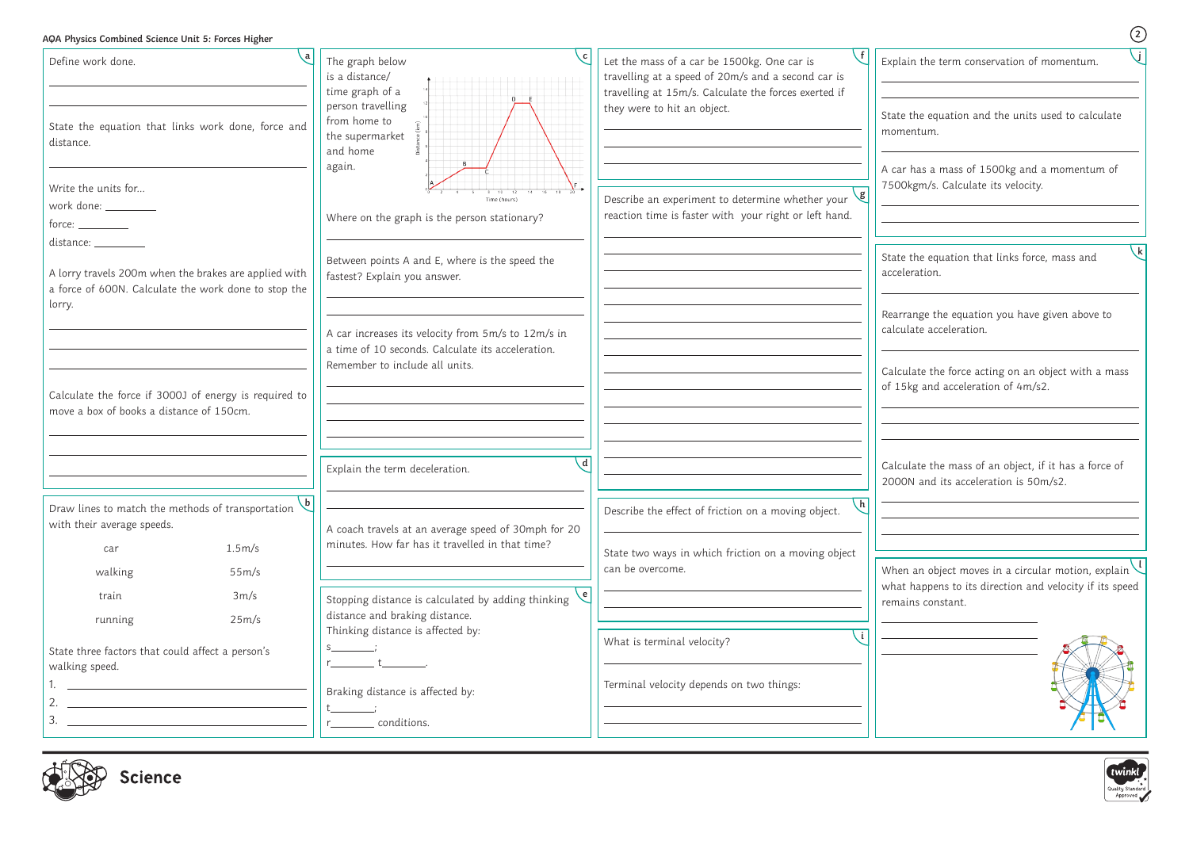## **AQA Physics Combined Science Unit 5: Forces Higher**

**2**

| Define work done.                                                                                                                                                                                                                                  |                 | c <br>The graph below<br>is a distance/<br>time graph of a<br>$D$ E                                                                       | f<br>Let the mass of a car be 1500kg. One car is<br>Ex<br>travelling at a speed of 20m/s and a second car is<br>travelling at 15m/s. Calculate the forces exerted if |
|----------------------------------------------------------------------------------------------------------------------------------------------------------------------------------------------------------------------------------------------------|-----------------|-------------------------------------------------------------------------------------------------------------------------------------------|----------------------------------------------------------------------------------------------------------------------------------------------------------------------|
| State the equation that links work done, force and<br>distance.                                                                                                                                                                                    |                 | person travelling<br>from home to<br>the supermarket<br>and home<br><sub>R</sub><br>again.                                                | they were to hit an object.<br>St.<br>m<br>A                                                                                                                         |
| Write the units for<br>work done: ________<br>$force: \_\_\_\_\_\_\_$                                                                                                                                                                              |                 | Time (hours)<br>Where on the graph is the person stationary?                                                                              | 75<br> g <br>Describe an experiment to determine whether your<br>reaction time is faster with your right or left hand.                                               |
| distance: _________<br>A lorry travels 200m when the brakes are applied with<br>a force of 600N. Calculate the work done to stop the<br>lorry.                                                                                                     |                 | Between points A and E, where is the speed the<br>fastest? Explain you answer.                                                            | <b>St</b><br>ac                                                                                                                                                      |
|                                                                                                                                                                                                                                                    |                 | A car increases its velocity from 5m/s to 12m/s in<br>a time of 10 seconds. Calculate its acceleration.<br>Remember to include all units. | Re<br>ca<br>Ca                                                                                                                                                       |
| Calculate the force if 3000J of energy is required to<br>move a box of books a distance of 150cm.                                                                                                                                                  |                 |                                                                                                                                           | of                                                                                                                                                                   |
|                                                                                                                                                                                                                                                    |                 | $\mathbf d$<br>Explain the term deceleration.                                                                                             | Ca<br>2 <sub>C</sub>                                                                                                                                                 |
| Draw lines to match the methods of transportation<br>with their average speeds.                                                                                                                                                                    | $\mathsf{b}$    | A coach travels at an average speed of 30mph for 20                                                                                       | $\lfloor h \rfloor$<br>Describe the effect of friction on a moving object.                                                                                           |
| car<br>walking                                                                                                                                                                                                                                     | 1.5m/s<br>55m/s | minutes. How far has it travelled in that time?                                                                                           | State two ways in which friction on a moving object<br>can be overcome.<br>W                                                                                         |
| train<br>running                                                                                                                                                                                                                                   | 3m/s<br>25m/s   | $\epsilon$<br>Stopping distance is calculated by adding thinking<br>distance and braking distance.                                        | wl<br>re                                                                                                                                                             |
| State three factors that could affect a person's<br>walking speed.                                                                                                                                                                                 |                 | Thinking distance is affected by:<br>$\overline{\phantom{a}}$                                                                             | $\overline{1}$<br>What is terminal velocity?                                                                                                                         |
| <u> 1989 - Johann Barbara, martxa eta idazlea (h. 1989).</u><br>2.<br><u> 1980 - Andrea Andrew Maria (h. 1980).</u><br>3.<br><u> 1989 - Johann Harry Harry Harry Harry Harry Harry Harry Harry Harry Harry Harry Harry Harry Harry Harry Harry</u> |                 | Braking distance is affected by:<br>conditions.                                                                                           | Terminal velocity depends on two things:                                                                                                                             |



 $x$ plain the term conservation of momentum.

tate the equation and the units used to calculate momentum.

car has a mass of 1500kg and a momentum of 500kgm/s. Calculate its velocity.

tate the equation that links force, mass and celeration.

earrange the equation you have given above to alculate acceleration.

alculate the force acting on an object with a mass  $f$  15kg and acceleration of 4m/s2.

 $\alpha$  alculate the mass of an object, if it has a force of 2000N and its acceleration is 50m/s2.

When an object moves in a circular motion, explain **l** $\phi$ hat happens to its direction and velocity if its speed mains constant.





**j**

**k**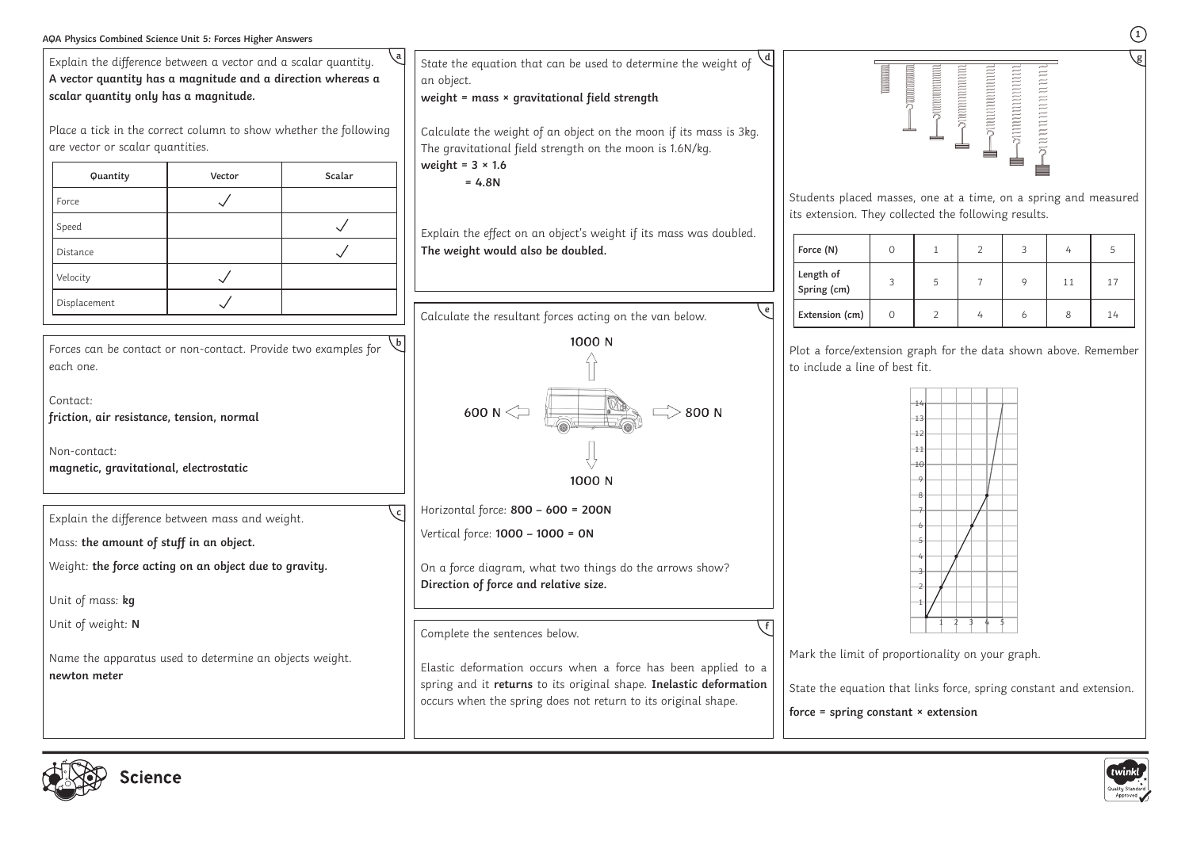







| AQA Physics Combined Science Unit 5: Forces Higher Answers                                                                                                                                                                                 |        |              |                                                                                                                                                                                                      |                                                                                                                                                                       |              |                         |                      |                                    |    |    |  |
|--------------------------------------------------------------------------------------------------------------------------------------------------------------------------------------------------------------------------------------------|--------|--------------|------------------------------------------------------------------------------------------------------------------------------------------------------------------------------------------------------|-----------------------------------------------------------------------------------------------------------------------------------------------------------------------|--------------|-------------------------|----------------------|------------------------------------|----|----|--|
| Explain the difference between a vector and a scalar quantity.<br>A vector quantity has a magnitude and a direction whereas a<br>scalar quantity only has a magnitude.<br>Place a tick in the correct column to show whether the following |        |              | State the equation that can be used to determine the weight of<br>an object.<br>weight = mass × gravitational field strength<br>Calculate the weight of an object on the moon if its mass is 3kg.    |                                                                                                                                                                       | manaman<br>ك | nummmmmmmmmmmmmmmmmmmmm | nnnnnnnnnn<br>nnmmmm | nununun<br>n n n n n n n n n n n n |    |    |  |
| are vector or scalar quantities.                                                                                                                                                                                                           |        |              | The gravitational field strength on the moon is 1.6N/kg.<br>weight = $3 \times 1.6$                                                                                                                  |                                                                                                                                                                       |              |                         |                      |                                    |    |    |  |
| Quantity                                                                                                                                                                                                                                   | Vector | Scalar       | $= 4.8N$                                                                                                                                                                                             |                                                                                                                                                                       |              |                         |                      |                                    |    |    |  |
| Force                                                                                                                                                                                                                                      |        |              |                                                                                                                                                                                                      | Students placed masses, one at a time, on a spring and measured                                                                                                       |              |                         |                      |                                    |    |    |  |
| Speed                                                                                                                                                                                                                                      |        | $\checkmark$ | Explain the effect on an object's weight if its mass was doubled.                                                                                                                                    | its extension. They collected the following results.                                                                                                                  |              |                         |                      |                                    |    |    |  |
| Distance                                                                                                                                                                                                                                   |        | $\checkmark$ | The weight would also be doubled.                                                                                                                                                                    | Force (N)                                                                                                                                                             | $\Omega$     |                         | $\overline{2}$       | 3                                  |    |    |  |
| Velocity                                                                                                                                                                                                                                   |        |              |                                                                                                                                                                                                      | Length of<br>Spring (cm)                                                                                                                                              | 3            | 5                       |                      | $\mathsf Q$                        | 11 | 17 |  |
| Displacement                                                                                                                                                                                                                               |        |              | $\epsilon$<br>Calculate the resultant forces acting on the van below.                                                                                                                                | Extension (cm)                                                                                                                                                        | $\Omega$     |                         |                      | h                                  | 8  | 14 |  |
| Forces can be contact or non-contact. Provide two examples for<br>each one.<br>Contact:<br>friction, air resistance, tension, normal<br>Non-contact:<br>magnetic, gravitational, electrostatic                                             |        |              | 1000 N<br>600 N $\leq$<br>800 N<br>1000 N                                                                                                                                                            | Plot a force/extension graph for the data shown above. Remember<br>to include a line of best fit.<br>$+3$<br>-11                                                      |              |                         |                      |                                    |    |    |  |
| $\backslash$ c  <br>Explain the difference between mass and weight.<br>Mass: the amount of stuff in an object.                                                                                                                             |        |              | Horizontal force: 800 - 600 = 200N<br>Vertical force: 1000 - 1000 = 0N                                                                                                                               |                                                                                                                                                                       |              |                         |                      |                                    |    |    |  |
| Weight: the force acting on an object due to gravity.<br>Unit of mass: kg                                                                                                                                                                  |        |              | On a force diagram, what two things do the arrows show?<br>Direction of force and relative size.                                                                                                     |                                                                                                                                                                       |              |                         |                      |                                    |    |    |  |
| Unit of weight: N                                                                                                                                                                                                                          |        |              | Complete the sentences below.                                                                                                                                                                        |                                                                                                                                                                       |              |                         |                      |                                    |    |    |  |
| Name the apparatus used to determine an objects weight.<br>newton meter                                                                                                                                                                    |        |              | Elastic deformation occurs when a force has been applied to a<br>spring and it returns to its original shape. Inelastic deformation<br>occurs when the spring does not return to its original shape. | Mark the limit of proportionality on your graph.<br>State the equation that links force, spring constant and extension.<br>force = spring constant $\times$ extension |              |                         |                      |                                    |    |    |  |